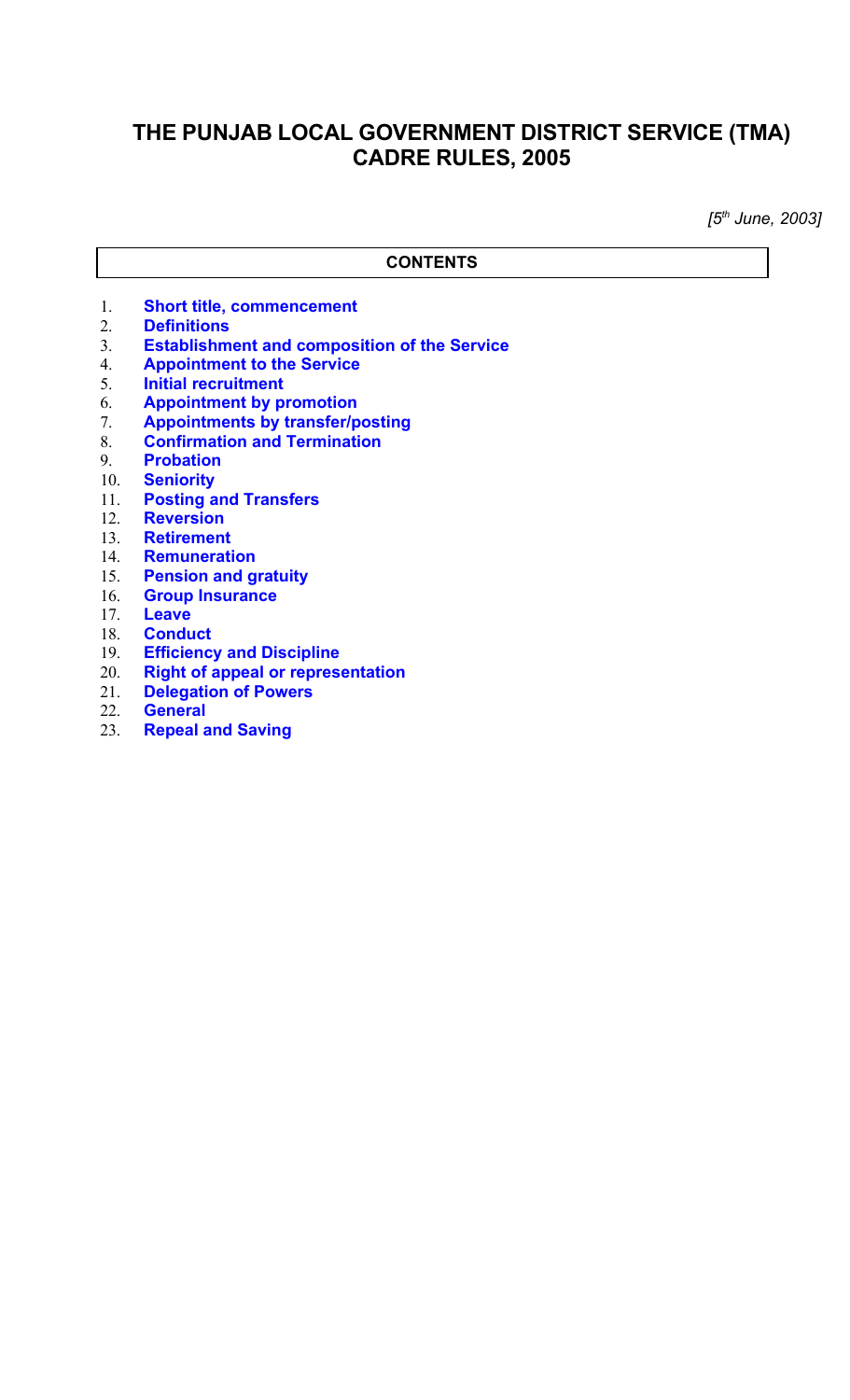# **THE PUNJAB LOCAL GOVERNMENT DISTRICT SERVICE (TMA) CADRE RULES, 2005**

*[5th June, 2003]*

#### **CONTENTS**

- 1. **[Short title, commencement](#page-1-2)**
- 2. **[Definitions](#page-1-1)**
- 3. **[Establishment and composition of the Service](#page-1-0)**
- 4. **[Appointment to the Service](#page-2-3)**
- 5. **[Initial recruitment](#page-2-2)**
- 6. **[Appointment by promotion](#page-2-1)**
- 7. **[Appointments by transfer/posting](#page-2-0)**
- 8. **[Confirmation and Termination](#page-3-2)**
- 9. **[Probation](#page-3-1)**
- 10. **[Seniority](#page-3-0)**
- 11. **[Posting and Transfers](#page-4-3)**
- 12. **[Reversion](#page-4-2)**
- 13. **[Retirement](#page-4-1)**
- 14. **[Remuneration](#page-4-0)**
- 15. **[Pension and gratuity](#page-5-6)**
- 16. **[Group Insurance](#page-5-5)**
- 17. **[Leave](#page-5-4)**
- 18. **[Conduct](#page-5-3)**
- 19. **[Efficiency and Discipline](#page-5-2)**
- 20. **[Right of appeal or representation](#page-5-1)**
- **[Delegation of Powers](#page-5-0)**
- 22. **[General](#page-6-1)**
- 23. **[Repeal and Saving](#page-6-0)**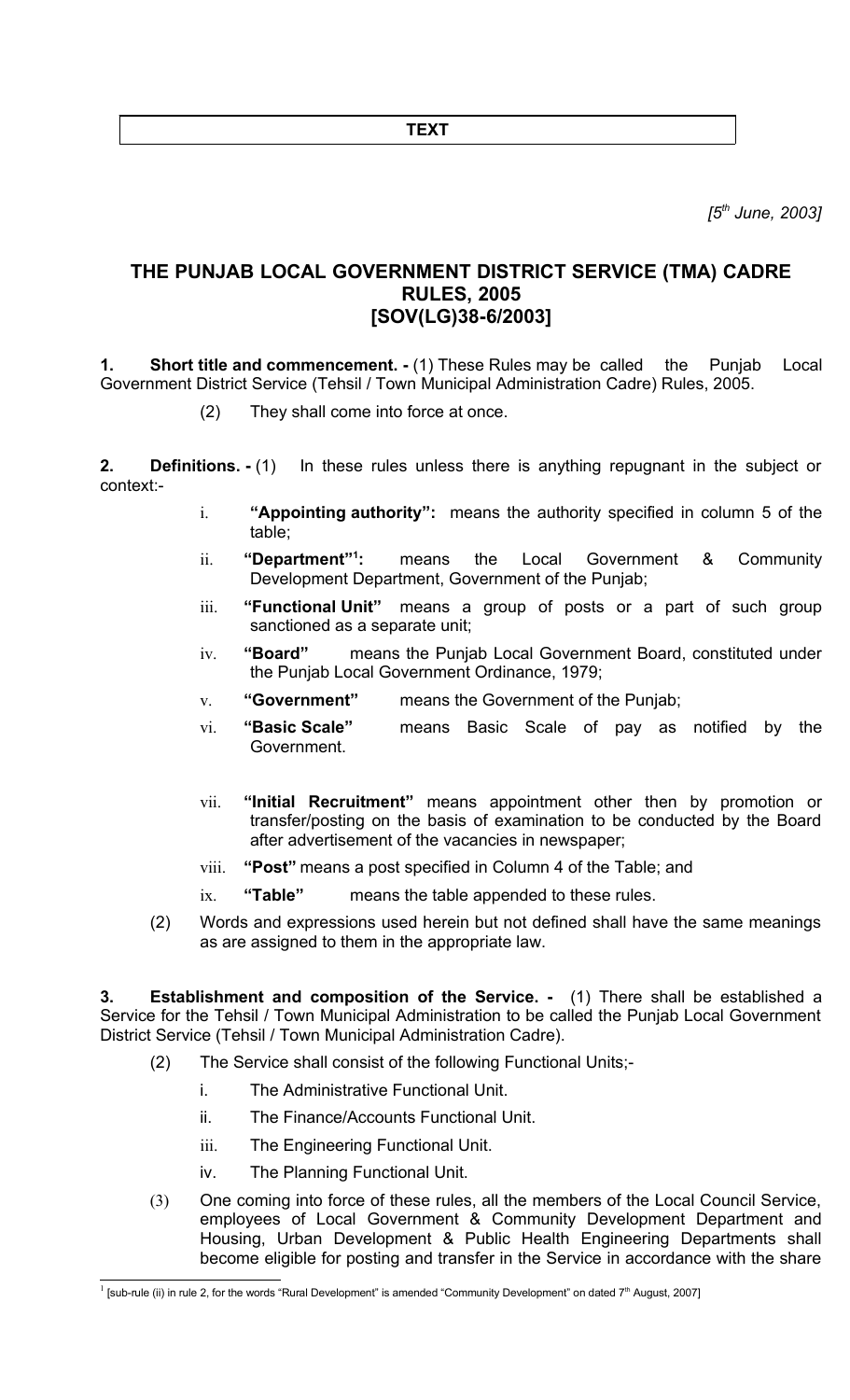**TEXT**

*[5th June, 2003]*

## **THE PUNJAB LOCAL GOVERNMENT DISTRICT SERVICE (TMA) CADRE RULES, 2005 [SOV(LG)38-6/2003]**

<span id="page-1-2"></span>**1.** Short title and commencement. - (1) These Rules may be called the Punjab Local Government District Service (Tehsil / Town Municipal Administration Cadre) Rules, 2005.

(2) They shall come into force at once.

<span id="page-1-1"></span>**2. Definitions.** - (1) In these rules unless there is anything repugnant in the subject or context:-

- i. **"Appointing authority":** means the authority specified in column 5 of the table;
- ii. **"Department"[1](#page-1-3) :** means the Local Government & Community Development Department, Government of the Punjab;
- iii. **"Functional Unit"** means a group of posts or a part of such group sanctioned as a separate unit;
- iv. **"Board"** means the Punjab Local Government Board, constituted under the Punjab Local Government Ordinance, 1979;
- v. **"Government"** means the Government of the Punjab;
- vi. **"Basic Scale"** means Basic Scale of pay as notified by the Government.
- vii. **"Initial Recruitment"** means appointment other then by promotion or transfer/posting on the basis of examination to be conducted by the Board after advertisement of the vacancies in newspaper;
- viii. **"Post"** means a post specified in Column 4 of the Table; and
- ix. **"Table"** means the table appended to these rules.
- (2) Words and expressions used herein but not defined shall have the same meanings as are assigned to them in the appropriate law.

<span id="page-1-0"></span>**3. Establishment and composition of the Service. -** (1) There shall be established a Service for the Tehsil / Town Municipal Administration to be called the Punjab Local Government District Service (Tehsil / Town Municipal Administration Cadre).

- (2) The Service shall consist of the following Functional Units;
	- i. The Administrative Functional Unit.
	- ii. The Finance/Accounts Functional Unit.
	- iii. The Engineering Functional Unit.
	- iv. The Planning Functional Unit.
- (3) One coming into force of these rules, all the members of the Local Council Service, employees of Local Government & Community Development Department and Housing, Urban Development & Public Health Engineering Departments shall become eligible for posting and transfer in the Service in accordance with the share

<span id="page-1-3"></span><sup>&</sup>lt;sup>1</sup> [sub-rule (ii) in rule 2, for the words "Rural Development" is amended "Community Development" on dated 7<sup>th</sup> August, 2007]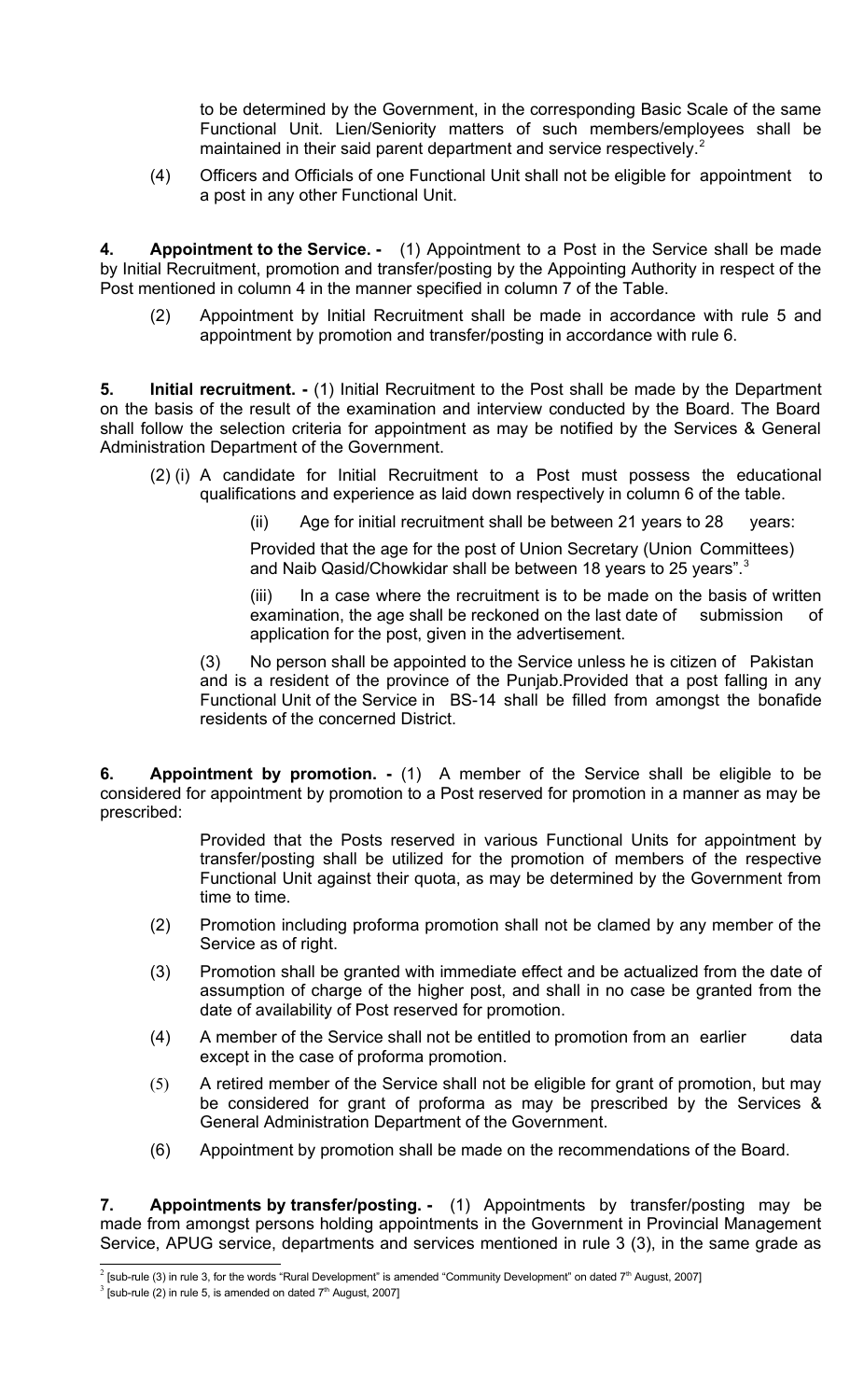to be determined by the Government, in the corresponding Basic Scale of the same Functional Unit. Lien/Seniority matters of such members/employees shall be maintained in their said parent department and service respectively.<sup>[2](#page-2-4)</sup>

(4) Officers and Officials of one Functional Unit shall not be eligible for appointment to a post in any other Functional Unit.

<span id="page-2-3"></span>**4. Appointment to the Service. -** (1) Appointment to a Post in the Service shall be made by Initial Recruitment, promotion and transfer/posting by the Appointing Authority in respect of the Post mentioned in column 4 in the manner specified in column 7 of the Table.

(2) Appointment by Initial Recruitment shall be made in accordance with rule 5 and appointment by promotion and transfer/posting in accordance with rule 6.

<span id="page-2-2"></span>**5. Initial recruitment. -** (1) Initial Recruitment to the Post shall be made by the Department on the basis of the result of the examination and interview conducted by the Board. The Board shall follow the selection criteria for appointment as may be notified by the Services & General Administration Department of the Government.

- (2) (i) A candidate for Initial Recruitment to a Post must possess the educational qualifications and experience as laid down respectively in column 6 of the table.
	- (ii) Age for initial recruitment shall be between 21 years to 28 years:

Provided that the age for the post of Union Secretary (Union Committees) and Naib Qasid/Chowkidar shall be between 18 years to 25 years".<sup>[3](#page-2-5)</sup>

(iii) In a case where the recruitment is to be made on the basis of written examination, the age shall be reckoned on the last date of submission of application for the post, given in the advertisement.

(3) No person shall be appointed to the Service unless he is citizen of Pakistan and is a resident of the province of the Punjab.Provided that a post falling in any Functional Unit of the Service in BS-14 shall be filled from amongst the bonafide residents of the concerned District.

<span id="page-2-1"></span>**6. Appointment by promotion. -** (1) A member of the Service shall be eligible to be considered for appointment by promotion to a Post reserved for promotion in a manner as may be prescribed:

> Provided that the Posts reserved in various Functional Units for appointment by transfer/posting shall be utilized for the promotion of members of the respective Functional Unit against their quota, as may be determined by the Government from time to time.

- (2) Promotion including proforma promotion shall not be clamed by any member of the Service as of right.
- (3) Promotion shall be granted with immediate effect and be actualized from the date of assumption of charge of the higher post, and shall in no case be granted from the date of availability of Post reserved for promotion.
- (4) A member of the Service shall not be entitled to promotion from an earlier data except in the case of proforma promotion.
- (5) A retired member of the Service shall not be eligible for grant of promotion, but may be considered for grant of proforma as may be prescribed by the Services & General Administration Department of the Government.
- (6) Appointment by promotion shall be made on the recommendations of the Board.

<span id="page-2-0"></span>**7. Appointments by transfer/posting. -** (1) Appointments by transfer/posting may be made from amongst persons holding appointments in the Government in Provincial Management Service, APUG service, departments and services mentioned in rule 3 (3), in the same grade as

<span id="page-2-4"></span><sup>&</sup>lt;sup>2</sup> [sub-rule (3) in rule 3, for the words "Rural Development" is amended "Community Development" on dated 7<sup>th</sup> August, 2007]

<span id="page-2-5"></span> $3$  [sub-rule (2) in rule 5, is amended on dated  $7<sup>th</sup>$  August, 2007]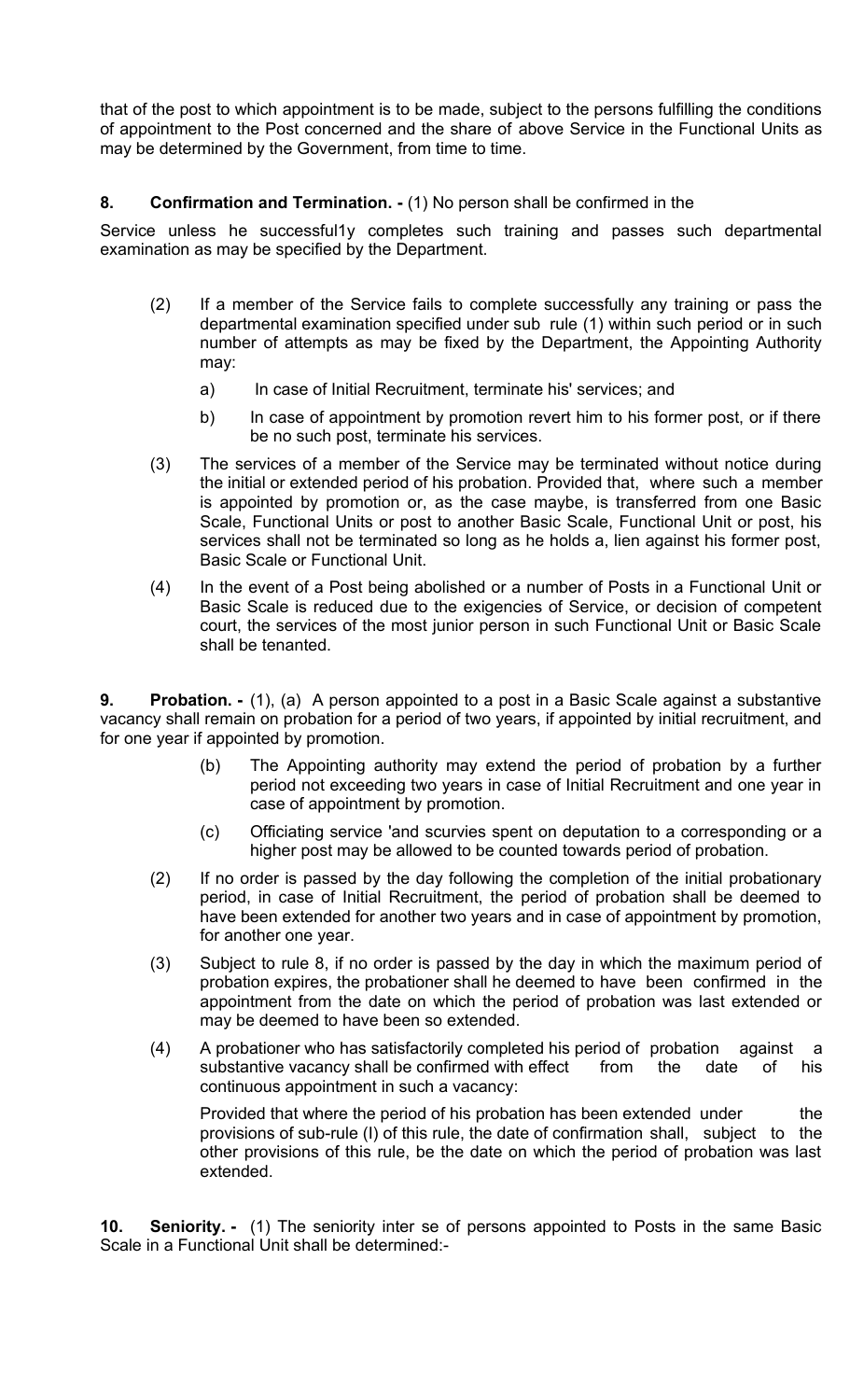that of the post to which appointment is to be made, subject to the persons fulfilling the conditions of appointment to the Post concerned and the share of above Service in the Functional Units as may be determined by the Government, from time to time.

### <span id="page-3-2"></span>**8. Confirmation and Termination. -** (1) No person shall be confirmed in the

Service unless he successful1y completes such training and passes such departmental examination as may be specified by the Department.

- (2) If a member of the Service fails to complete successfully any training or pass the departmental examination specified under sub rule (1) within such period or in such number of attempts as may be fixed by the Department, the Appointing Authority may:
	- a) In case of Initial Recruitment, terminate his' services; and
	- b) In case of appointment by promotion revert him to his former post, or if there be no such post, terminate his services.
- (3) The services of a member of the Service may be terminated without notice during the initial or extended period of his probation. Provided that, where such a member is appointed by promotion or, as the case maybe, is transferred from one Basic Scale, Functional Units or post to another Basic Scale, Functional Unit or post, his services shall not be terminated so long as he holds a, lien against his former post, Basic Scale or Functional Unit.
- (4) In the event of a Post being abolished or a number of Posts in a Functional Unit or Basic Scale is reduced due to the exigencies of Service, or decision of competent court, the services of the most junior person in such Functional Unit or Basic Scale shall be tenanted.

<span id="page-3-1"></span>**9. Probation. -** (1), (a) A person appointed to a post in a Basic Scale against a substantive vacancy shall remain on probation for a period of two years, if appointed by initial recruitment, and for one year if appointed by promotion.

- (b) The Appointing authority may extend the period of probation by a further period not exceeding two years in case of Initial Recruitment and one year in case of appointment by promotion.
- (c) Officiating service 'and scurvies spent on deputation to a corresponding or a higher post may be allowed to be counted towards period of probation.
- (2) If no order is passed by the day following the completion of the initial probationary period, in case of Initial Recruitment, the period of probation shall be deemed to have been extended for another two years and in case of appointment by promotion, for another one year.
- (3) Subject to rule 8, if no order is passed by the day in which the maximum period of probation expires, the probationer shall he deemed to have been confirmed in the appointment from the date on which the period of probation was last extended or may be deemed to have been so extended.
- (4) A probationer who has satisfactorily completed his period of probation against a substantive vacancy shall be confirmed with effect from the date of his continuous appointment in such a vacancy:

Provided that where the period of his probation has been extended under the provisions of sub-rule (I) of this rule, the date of confirmation shall, subject to the other provisions of this rule, be the date on which the period of probation was last extended.

<span id="page-3-0"></span>**10. Seniority. -** (1) The seniority inter se of persons appointed to Posts in the same Basic Scale in a Functional Unit shall be determined:-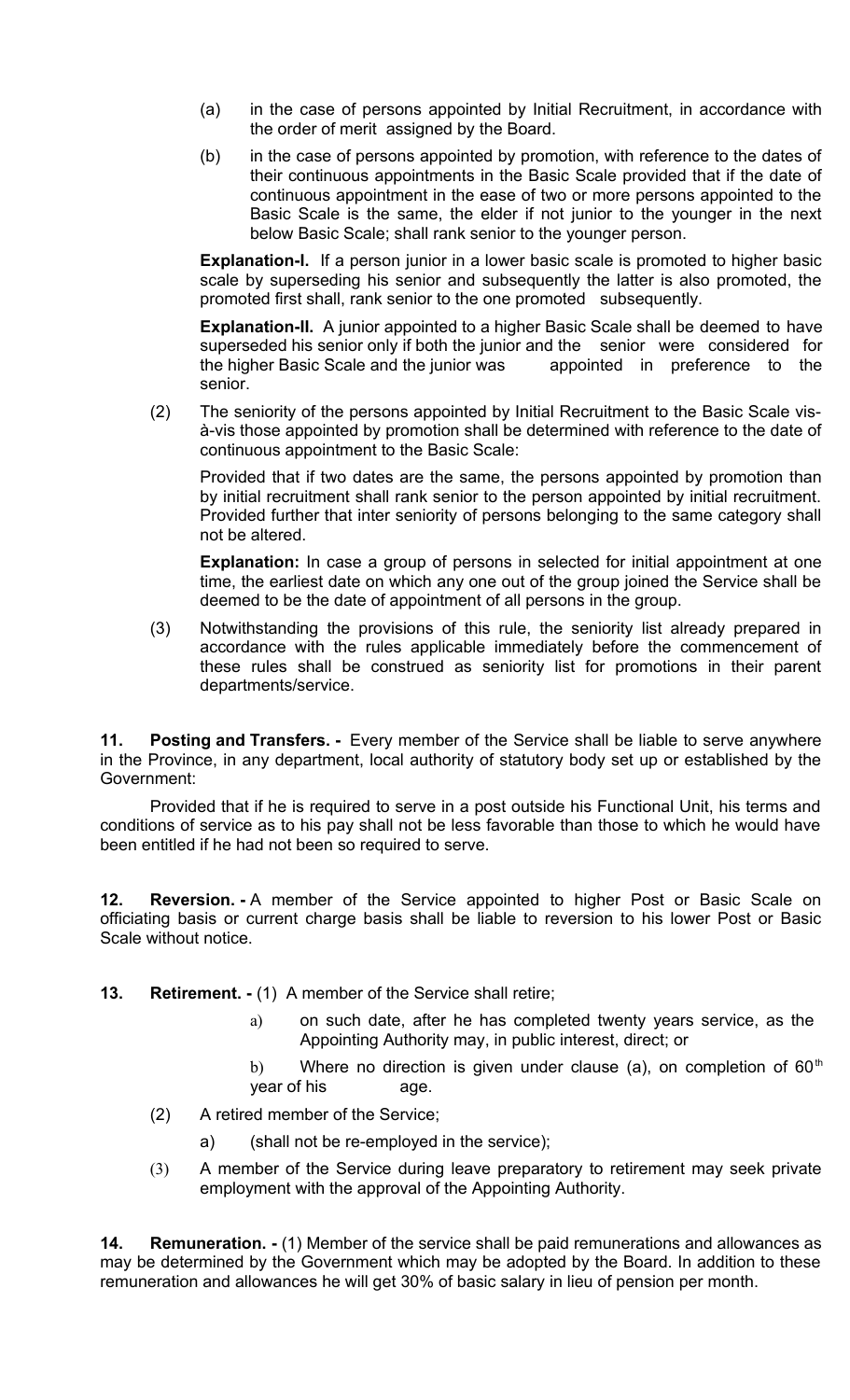- (a) in the case of persons appointed by Initial Recruitment, in accordance with the order of merit assigned by the Board.
- (b) in the case of persons appointed by promotion, with reference to the dates of their continuous appointments in the Basic Scale provided that if the date of continuous appointment in the ease of two or more persons appointed to the Basic Scale is the same, the elder if not junior to the younger in the next below Basic Scale; shall rank senior to the younger person.

**Explanation-I.** If a person junior in a lower basic scale is promoted to higher basic scale by superseding his senior and subsequently the latter is also promoted, the promoted first shall, rank senior to the one promoted subsequently.

**Explanation-II.** A junior appointed to a higher Basic Scale shall be deemed to have superseded his senior only if both the junior and the senior were considered for the higher Basic Scale and the junior was appointed in preference to the senior.

(2) The seniority of the persons appointed by Initial Recruitment to the Basic Scale visà-vis those appointed by promotion shall be determined with reference to the date of continuous appointment to the Basic Scale:

Provided that if two dates are the same, the persons appointed by promotion than by initial recruitment shall rank senior to the person appointed by initial recruitment. Provided further that inter seniority of persons belonging to the same category shall not be altered.

**Explanation:** In case a group of persons in selected for initial appointment at one time, the earliest date on which any one out of the group joined the Service shall be deemed to be the date of appointment of all persons in the group.

(3) Notwithstanding the provisions of this rule, the seniority list already prepared in accordance with the rules applicable immediately before the commencement of these rules shall be construed as seniority list for promotions in their parent departments/service.

<span id="page-4-3"></span>**11. Posting and Transfers. -** Every member of the Service shall be liable to serve anywhere in the Province, in any department, local authority of statutory body set up or established by the Government:

Provided that if he is required to serve in a post outside his Functional Unit, his terms and conditions of service as to his pay shall not be less favorable than those to which he would have been entitled if he had not been so required to serve.

<span id="page-4-2"></span>**12. Reversion. -** A member of the Service appointed to higher Post or Basic Scale on officiating basis or current charge basis shall be liable to reversion to his lower Post or Basic Scale without notice.

- <span id="page-4-1"></span>**13. Retirement. -** (1) A member of the Service shall retire;
	- a) on such date, after he has completed twenty years service, as the Appointing Authority may, in public interest, direct; or
	- b) Where no direction is given under clause (a), on completion of  $60<sup>th</sup>$ year of his age.
	- (2) A retired member of the Service;
		- a) (shall not be re-employed in the service);
	- (3) A member of the Service during leave preparatory to retirement may seek private employment with the approval of the Appointing Authority.

<span id="page-4-0"></span>**14. Remuneration.** - (1) Member of the service shall be paid remunerations and allowances as may be determined by the Government which may be adopted by the Board. In addition to these remuneration and allowances he will get 30% of basic salary in lieu of pension per month.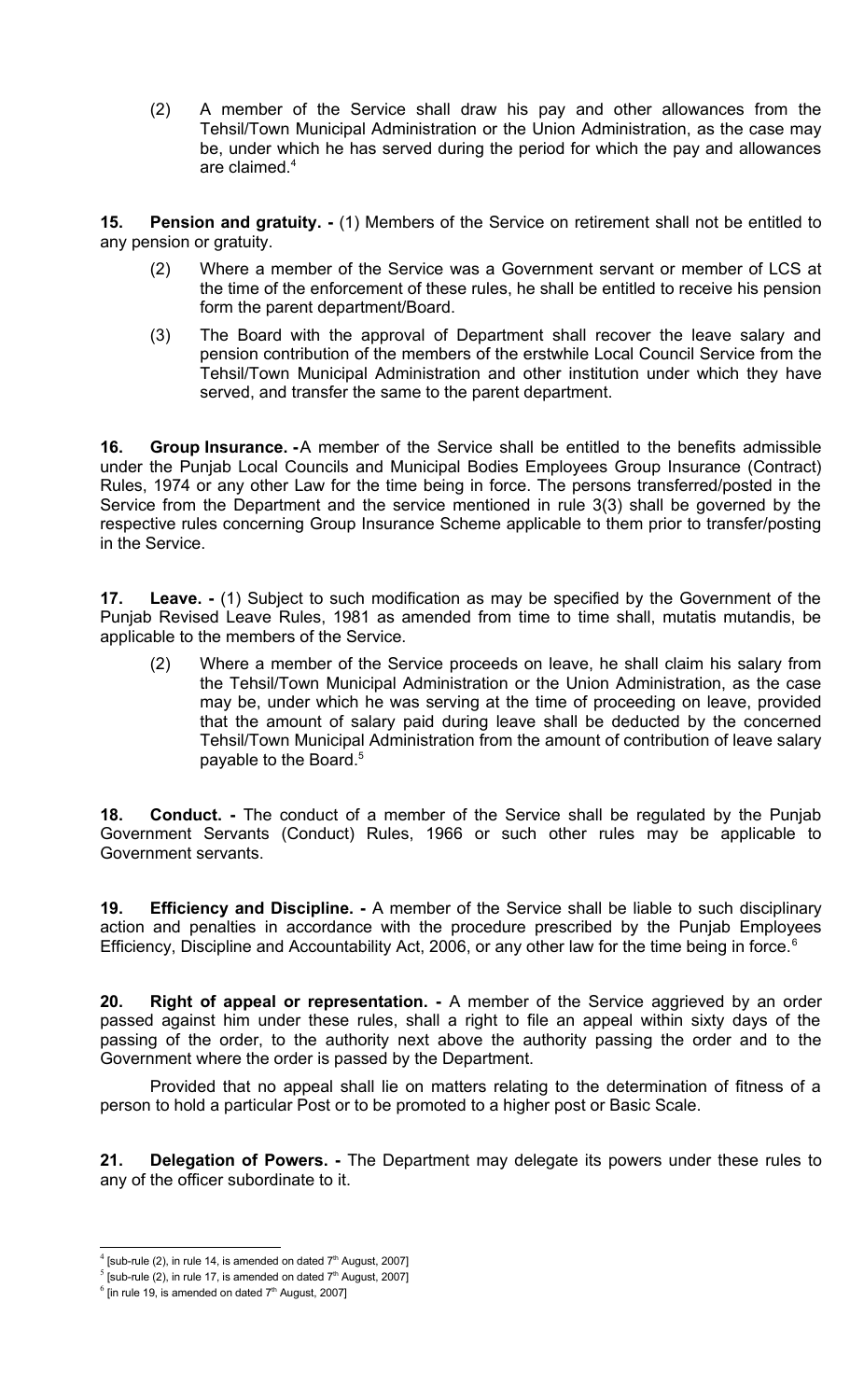(2) A member of the Service shall draw his pay and other allowances from the Tehsil/Town Municipal Administration or the Union Administration, as the case may be, under which he has served during the period for which the pay and allowances are claimed.<sup>[4](#page-5-7)</sup>

**15. Pension and gratuity. -** (1) Members of the Service on retirement shall not be entitled to any pension or gratuity.

- <span id="page-5-6"></span>(2) Where a member of the Service was a Government servant or member of LCS at the time of the enforcement of these rules, he shall be entitled to receive his pension form the parent department/Board.
- (3) The Board with the approval of Department shall recover the leave salary and pension contribution of the members of the erstwhile Local Council Service from the Tehsil/Town Municipal Administration and other institution under which they have served, and transfer the same to the parent department.

<span id="page-5-5"></span>**16. Group Insurance. -**A member of the Service shall be entitled to the benefits admissible under the Punjab Local Councils and Municipal Bodies Employees Group Insurance (Contract) Rules, 1974 or any other Law for the time being in force. The persons transferred/posted in the Service from the Department and the service mentioned in rule 3(3) shall be governed by the respective rules concerning Group Insurance Scheme applicable to them prior to transfer/posting in the Service.

<span id="page-5-4"></span>**17. Leave. -** (1) Subject to such modification as may be specified by the Government of the Punjab Revised Leave Rules, 1981 as amended from time to time shall, mutatis mutandis, be applicable to the members of the Service.

(2) Where a member of the Service proceeds on leave, he shall claim his salary from the Tehsil/Town Municipal Administration or the Union Administration, as the case may be, under which he was serving at the time of proceeding on leave, provided that the amount of salary paid during leave shall be deducted by the concerned Tehsil/Town Municipal Administration from the amount of contribution of leave salary payable to the Board.<sup>[5](#page-5-8)</sup>

<span id="page-5-3"></span>**18. Conduct. -** The conduct of a member of the Service shall be regulated by the Punjab Government Servants (Conduct) Rules, 1966 or such other rules may be applicable to Government servants.

<span id="page-5-2"></span>**19. Efficiency and Discipline. -** A member of the Service shall be liable to such disciplinary action and penalties in accordance with the procedure prescribed by the Punjab Employees Efficiency, Discipline and Accountability Act, 200[6](#page-5-9), or any other law for the time being in force.<sup>6</sup>

<span id="page-5-1"></span>**20. Right of appeal or representation. -** A member of the Service aggrieved by an order passed against him under these rules, shall a right to file an appeal within sixty days of the passing of the order, to the authority next above the authority passing the order and to the Government where the order is passed by the Department.

Provided that no appeal shall lie on matters relating to the determination of fitness of a person to hold a particular Post or to be promoted to a higher post or Basic Scale.

<span id="page-5-0"></span>**21. Delegation of Powers. -** The Department may delegate its powers under these rules to any of the officer subordinate to it.

<span id="page-5-7"></span> $4$  [sub-rule (2), in rule 14, is amended on dated  $7<sup>th</sup>$  August, 2007]

<span id="page-5-8"></span> $<sup>5</sup>$  [sub-rule (2), in rule 17, is amended on dated  $7<sup>th</sup>$  August, 2007]</sup>

<span id="page-5-9"></span> $<sup>6</sup>$  [in rule 19, is amended on dated 7<sup>th</sup> August, 2007]</sup>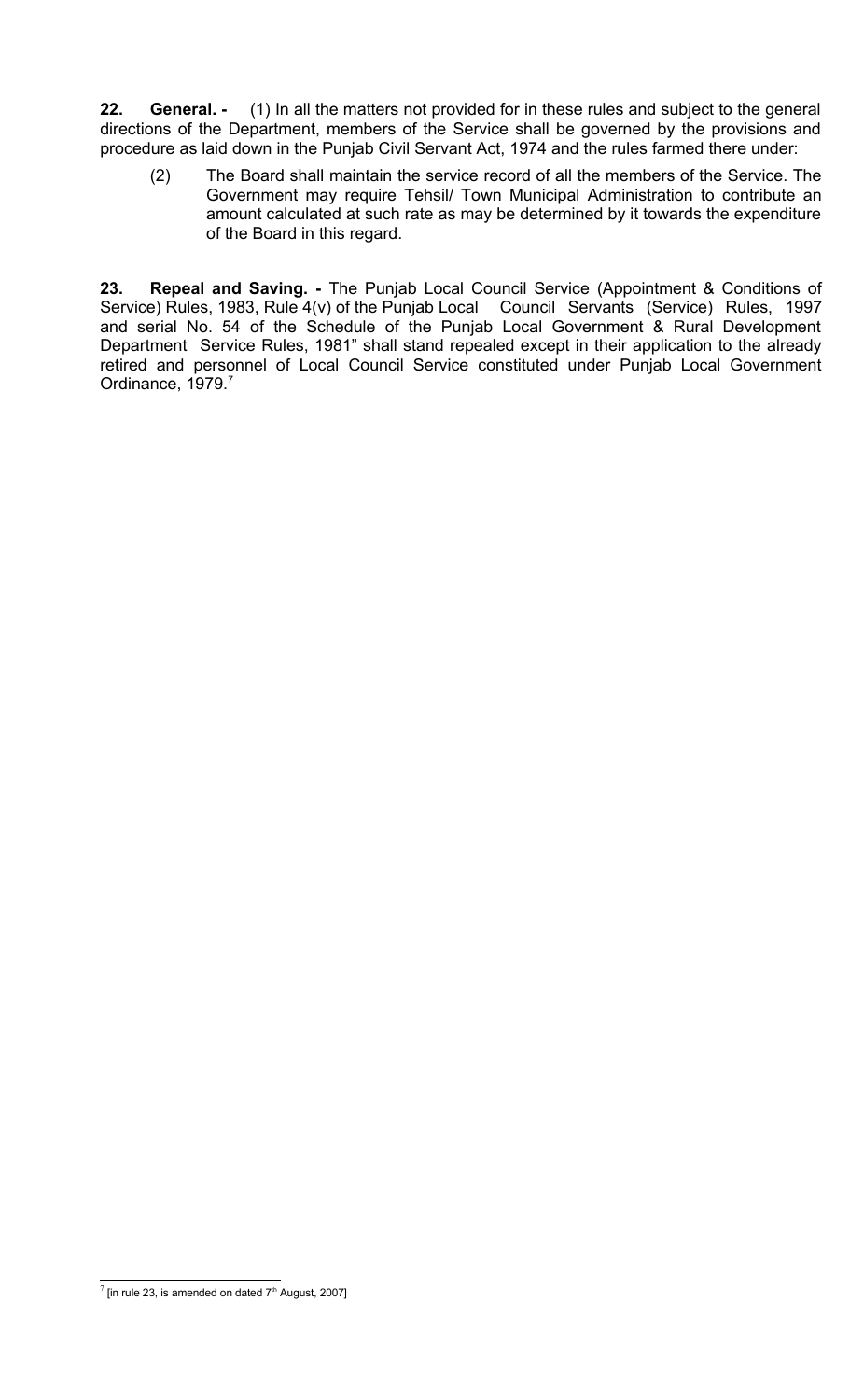<span id="page-6-1"></span>**22. General. -** (1) In all the matters not provided for in these rules and subject to the general directions of the Department, members of the Service shall be governed by the provisions and procedure as laid down in the Punjab Civil Servant Act, 1974 and the rules farmed there under:

(2) The Board shall maintain the service record of all the members of the Service. The Government may require Tehsil/ Town Municipal Administration to contribute an amount calculated at such rate as may be determined by it towards the expenditure of the Board in this regard.

<span id="page-6-0"></span>**23. Repeal and Saving. -** The Punjab Local Council Service (Appointment & Conditions of Service) Rules, 1983, Rule 4(v) of the Punjab Local Council Servants (Service) Rules, 1997 and serial No. 54 of the Schedule of the Punjab Local Government & Rural Development Department Service Rules, 1981" shall stand repealed except in their application to the already retired and personnel of Local Council Service constituted under Punjab Local Government Ordinance, 19[7](#page-6-2)9.<sup>7</sup>

<span id="page-6-2"></span> $\frac{7}{1}$  [in rule 23, is amended on dated 7<sup>th</sup> August, 2007]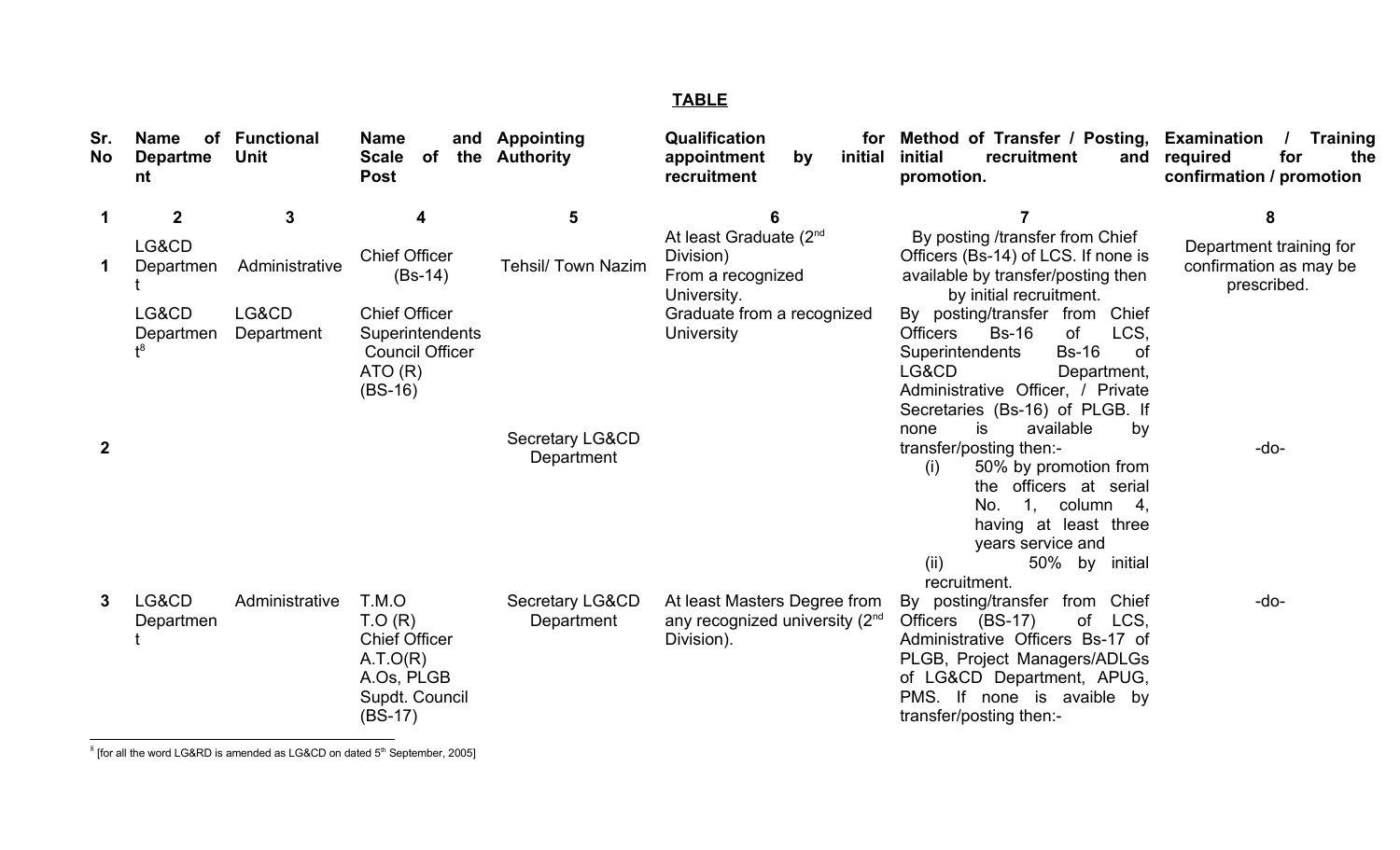### **TABLE**

| Sr.<br><b>No</b> | Name<br>of<br><b>Departme</b><br>nt | <b>Functional</b><br><b>Unit</b> | <b>Name</b><br><b>Scale</b><br>of<br><b>Post</b>                                                 | and Appointing<br>the Authority          | Qualification<br>for<br>initial<br>appointment<br>by<br>recruitment                 | Method of Transfer / Posting, Examination<br>initial<br>recruitment<br>and<br>promotion.                                                                                                                                                            | <b>Training</b><br>for<br>required<br>the<br>confirmation / promotion |
|------------------|-------------------------------------|----------------------------------|--------------------------------------------------------------------------------------------------|------------------------------------------|-------------------------------------------------------------------------------------|-----------------------------------------------------------------------------------------------------------------------------------------------------------------------------------------------------------------------------------------------------|-----------------------------------------------------------------------|
|                  | $\mathbf{2}$                        | 3                                |                                                                                                  | 5                                        |                                                                                     |                                                                                                                                                                                                                                                     | 8                                                                     |
|                  | LG&CD<br>Departmen                  | Administrative                   | <b>Chief Officer</b><br>$(Bs-14)$                                                                | <b>Tehsil/ Town Nazim</b>                | At least Graduate (2 <sup>nd</sup><br>Division)<br>From a recognized<br>University. | By posting /transfer from Chief<br>Officers (Bs-14) of LCS. If none is<br>available by transfer/posting then<br>by initial recruitment.                                                                                                             | Department training for<br>confirmation as may be<br>prescribed.      |
|                  | LG&CD<br>Departmen                  | LG&CD<br>Department              | <b>Chief Officer</b><br>Superintendents<br><b>Council Officer</b><br>ATO(R)<br>$(BS-16)$         |                                          | Graduate from a recognized<br><b>University</b>                                     | By posting/transfer from Chief<br><b>Bs-16</b><br><b>of</b><br>LCS,<br><b>Officers</b><br><b>Bs-16</b><br><b>Superintendents</b><br>0f<br>LG&CD<br>Department,<br>Administrative Officer, / Private<br>Secretaries (Bs-16) of PLGB. If              |                                                                       |
| 2                |                                     |                                  |                                                                                                  | <b>Secretary LG&amp;CD</b><br>Department |                                                                                     | is<br>available<br>by<br>none<br>transfer/posting then:-<br>50% by promotion from<br>(i)<br>the officers at serial<br>1 <sub>1</sub><br>column 4,<br>No.<br>having at least three<br>years service and<br>(ii)<br>50% by<br>initial<br>recruitment. | -do-                                                                  |
|                  | LG&CD<br>Departmen                  | Administrative                   | T.M.O<br>T.O(R)<br><b>Chief Officer</b><br>A.T.O(R)<br>A.Os, PLGB<br>Supdt. Council<br>$(BS-17)$ | Secretary LG&CD<br>Department            | At least Masters Degree from<br>any recognized university $(2^{nd}$<br>Division).   | from Chief<br>By posting/transfer<br>Officers (BS-17)<br>of<br>LCS,<br>Administrative Officers Bs-17 of<br>PLGB, Project Managers/ADLGs<br>of LG&CD Department, APUG,<br>PMS. If none is avaible by<br>transfer/posting then:-                      | $-do-$                                                                |

<span id="page-7-0"></span> $^8$  [for all the word LG&RD is amended as LG&CD on dated 5<sup>th</sup> September, 2005]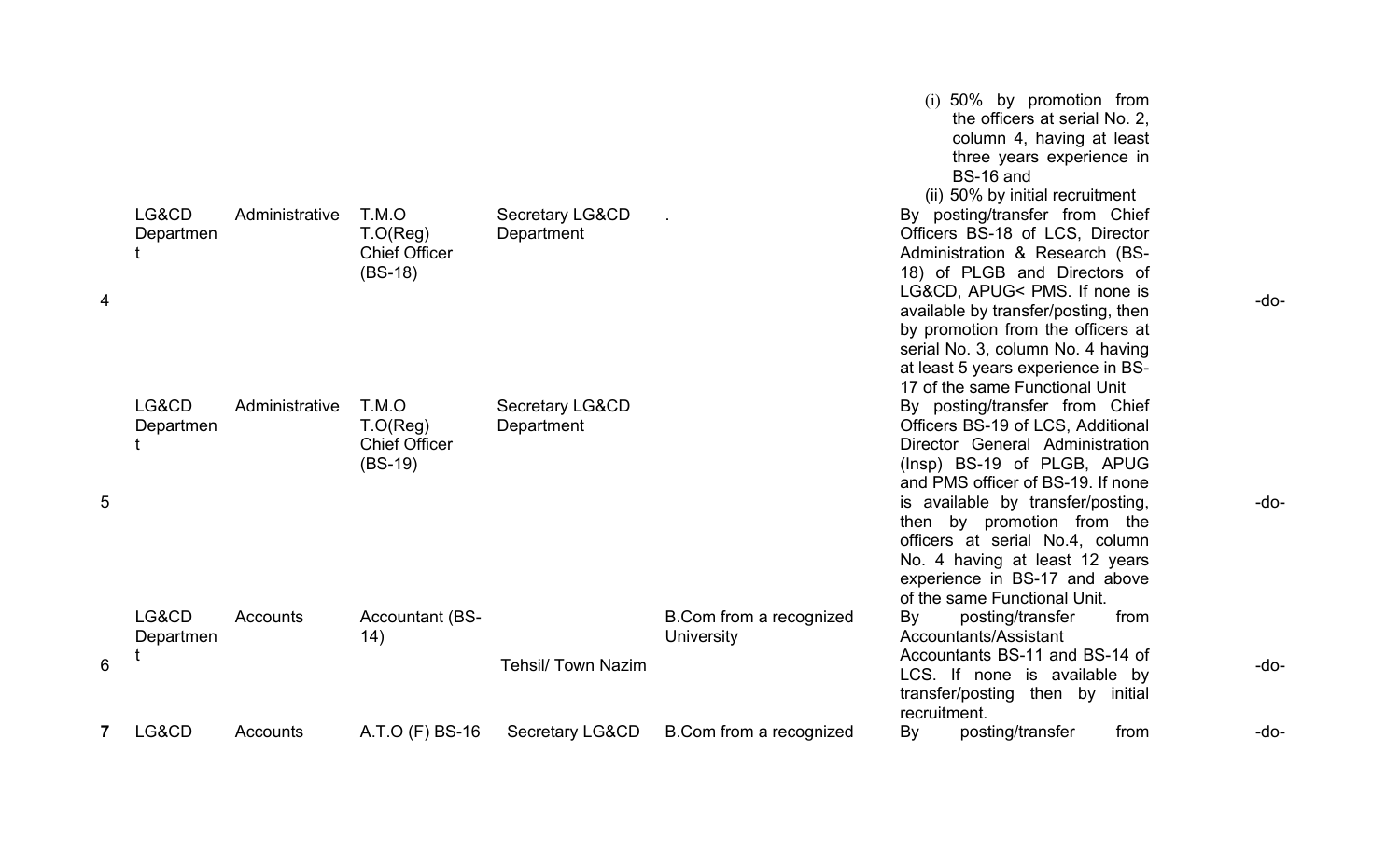|                |                    |                |                                                        |                                          |                                              | $(i)$ 50% by promotion from<br>the officers at serial No. 2,<br>column 4, having at least<br>three years experience in<br>BS-16 and<br>(ii) 50% by initial recruitment                                                                                                                                                                                                                                               |        |
|----------------|--------------------|----------------|--------------------------------------------------------|------------------------------------------|----------------------------------------------|----------------------------------------------------------------------------------------------------------------------------------------------------------------------------------------------------------------------------------------------------------------------------------------------------------------------------------------------------------------------------------------------------------------------|--------|
| $\overline{4}$ | LG&CD<br>Departmen | Administrative | T.M.O<br>T.O(Reg)<br><b>Chief Officer</b><br>$(BS-18)$ | Secretary LG&CD<br>Department            |                                              | By posting/transfer from Chief<br>Officers BS-18 of LCS, Director<br>Administration & Research (BS-<br>18) of PLGB and Directors of<br>LG&CD, APUG< PMS. If none is<br>available by transfer/posting, then<br>by promotion from the officers at<br>serial No. 3, column No. 4 having<br>at least 5 years experience in BS-                                                                                           | $-do-$ |
| 5              | LG&CD<br>Departmen | Administrative | T.M.O<br>T.O(Reg)<br><b>Chief Officer</b><br>$(BS-19)$ | <b>Secretary LG&amp;CD</b><br>Department |                                              | 17 of the same Functional Unit<br>By posting/transfer from Chief<br>Officers BS-19 of LCS, Additional<br>Director General Administration<br>(Insp) BS-19 of PLGB, APUG<br>and PMS officer of BS-19. If none<br>is available by transfer/posting,<br>then by promotion from the<br>officers at serial No.4, column<br>No. 4 having at least 12 years<br>experience in BS-17 and above<br>of the same Functional Unit. | $-do-$ |
| 6              | LG&CD<br>Departmen | Accounts       | <b>Accountant (BS-</b><br>14)                          | <b>Tehsil/ Town Nazim</b>                | B.Com from a recognized<br><b>University</b> | from<br>By<br>posting/transfer<br>Accountants/Assistant<br>Accountants BS-11 and BS-14 of<br>LCS. If none is available by<br>transfer/posting then by initial<br>recruitment.                                                                                                                                                                                                                                        | $-do-$ |
| 7              | LG&CD              | Accounts       | A.T.O (F) BS-16                                        | <b>Secretary LG&amp;CD</b>               | B.Com from a recognized                      | posting/transfer<br>By<br>from                                                                                                                                                                                                                                                                                                                                                                                       | $-do-$ |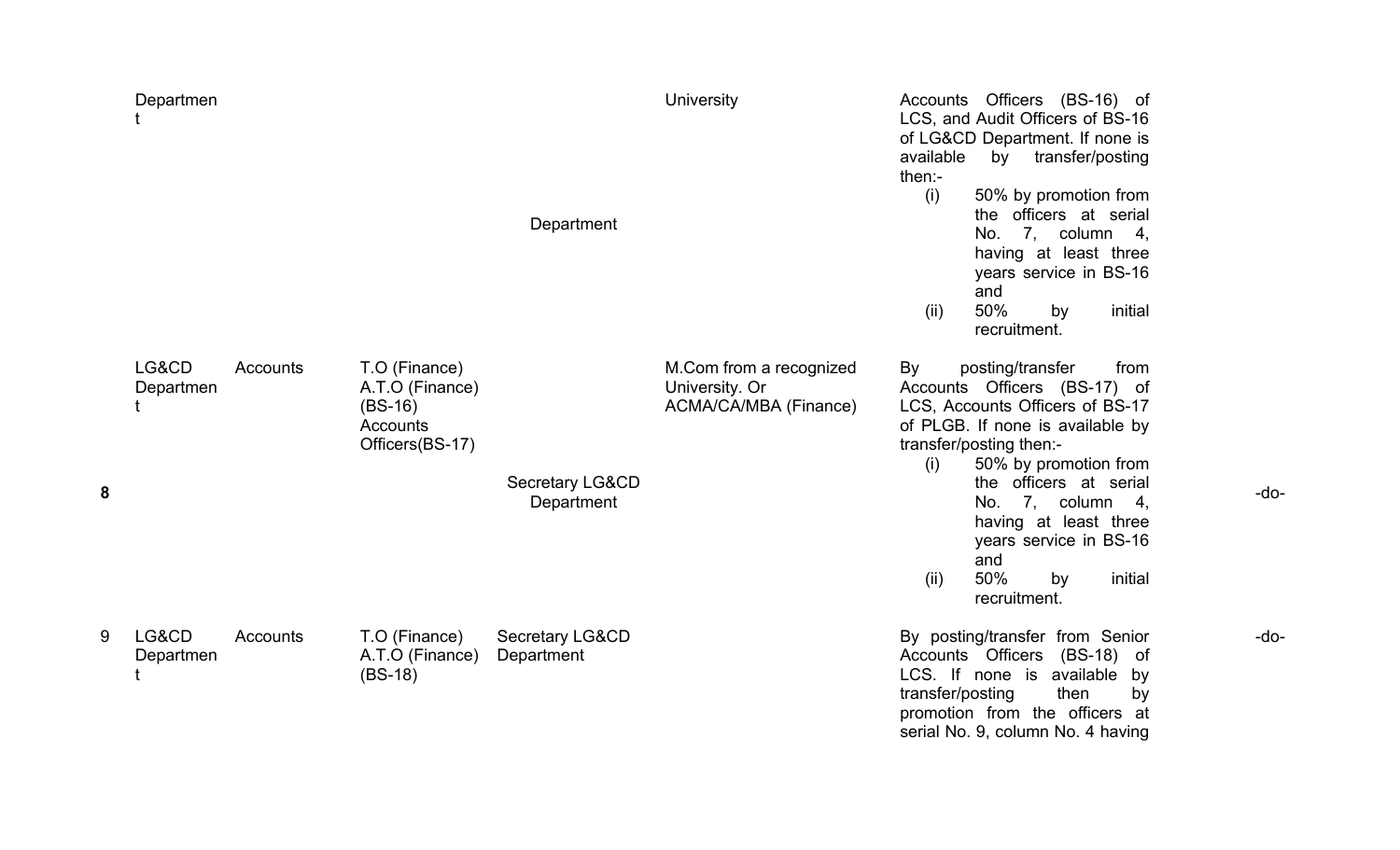|   | Departmen          |          |                                                                              | Department                               | <b>University</b>                                                  | available<br>then:-<br>(i)<br>(ii)           | Accounts Officers (BS-16) of<br>LCS, and Audit Officers of BS-16<br>of LG&CD Department. If none is<br>transfer/posting<br>by<br>50% by promotion from<br>the officers at serial<br>7, column 4,<br>No.<br>having at least three<br>years service in BS-16<br>and<br>50%<br>by<br>recruitment. | initial                |
|---|--------------------|----------|------------------------------------------------------------------------------|------------------------------------------|--------------------------------------------------------------------|----------------------------------------------|------------------------------------------------------------------------------------------------------------------------------------------------------------------------------------------------------------------------------------------------------------------------------------------------|------------------------|
| 8 | LG&CD<br>Departmen | Accounts | T.O (Finance)<br>A.T.O (Finance)<br>$(BS-16)$<br>Accounts<br>Officers(BS-17) | <b>Secretary LG&amp;CD</b><br>Department | M.Com from a recognized<br>University. Or<br>ACMA/CA/MBA (Finance) | By<br>transfer/posting then:-<br>(i)<br>(ii) | posting/transfer<br>Accounts Officers (BS-17) of<br>LCS, Accounts Officers of BS-17<br>of PLGB. If none is available by<br>50% by promotion from<br>the officers at serial<br>7, column 4,<br>No.<br>having at least three<br>years service in BS-16<br>and<br>50%<br>by<br>recruitment.       | from<br>initial        |
| 9 | LG&CD<br>Departmen | Accounts | T.O (Finance)<br>A.T.O (Finance)<br>$(BS-18)$                                | <b>Secretary LG&amp;CD</b><br>Department |                                                                    | Accounts Officers<br>transfer/posting        | By posting/transfer from Senior<br>LCS. If none is available<br>then<br>promotion from the officers at<br>serial No. 9, column No. 4 having                                                                                                                                                    | (BS-18) of<br>by<br>by |

-do-

-do-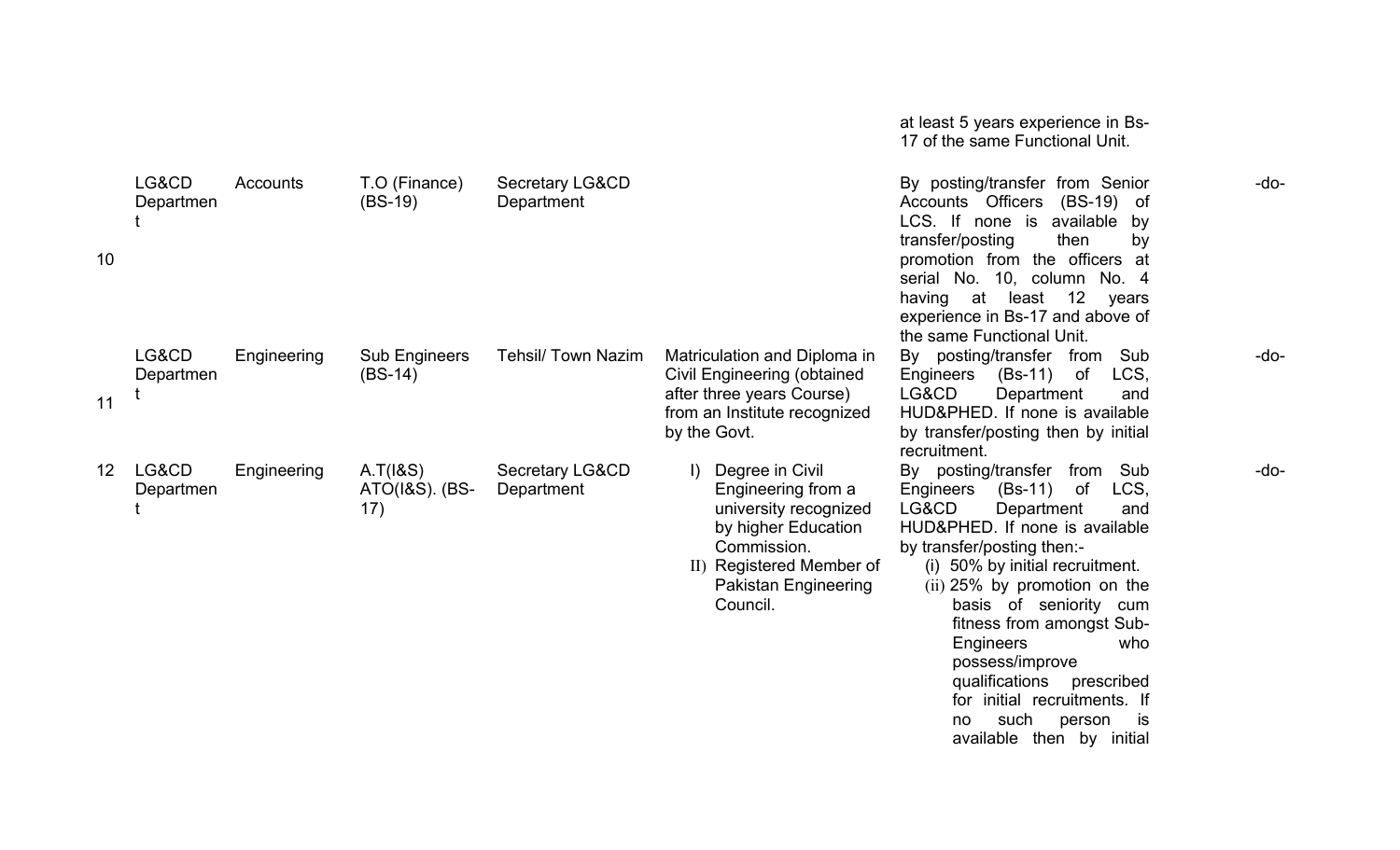|    |                    |             |                                         |                                          |                                                                                                                                                                                 | at least 5 years experience in Bs-<br>17 of the same Functional Unit.                                                                                                                                                                                                                                                                                                                                                                                             |        |
|----|--------------------|-------------|-----------------------------------------|------------------------------------------|---------------------------------------------------------------------------------------------------------------------------------------------------------------------------------|-------------------------------------------------------------------------------------------------------------------------------------------------------------------------------------------------------------------------------------------------------------------------------------------------------------------------------------------------------------------------------------------------------------------------------------------------------------------|--------|
| 10 | LG&CD<br>Departmen | Accounts    | T.O (Finance)<br>$(BS-19)$              | Secretary LG&CD<br>Department            |                                                                                                                                                                                 | By posting/transfer from Senior<br>Accounts Officers (BS-19) of<br>LCS. If none is available<br>by<br>transfer/posting<br>then<br>by<br>promotion from the officers at<br>serial No. 10, column No. 4<br>having at least 12<br>years<br>experience in Bs-17 and above of<br>the same Functional Unit.                                                                                                                                                             | $-do-$ |
| 11 | LG&CD<br>Departmen | Engineering | <b>Sub Engineers</b><br>$(BS-14)$       | <b>Tehsil/ Town Nazim</b>                | Matriculation and Diploma in<br>Civil Engineering (obtained<br>after three years Course)<br>from an Institute recognized<br>by the Govt.                                        | By posting/transfer from<br>Sub<br>LCS,<br>Engineers (Bs-11)<br>of<br>LG&CD<br>Department<br>and<br>HUD&PHED. If none is available<br>by transfer/posting then by initial<br>recruitment.                                                                                                                                                                                                                                                                         | $-do-$ |
| 12 | LG&CD<br>Departmen | Engineering | A.T(18S)<br>$ATO(1&S)$ . $(BS-)$<br>17) | <b>Secretary LG&amp;CD</b><br>Department | Degree in Civil<br>$\vert$<br>Engineering from a<br>university recognized<br>by higher Education<br>Commission.<br>II) Registered Member of<br>Pakistan Engineering<br>Council. | By posting/transfer from<br>Sub<br>$(Bs-11)$<br>0f<br>LCS,<br>Engineers<br>LG&CD<br>Department<br>and<br>HUD&PHED. If none is available<br>by transfer/posting then:-<br>(i) 50% by initial recruitment.<br>(ii) 25% by promotion on the<br>basis of seniority cum<br>fitness from amongst Sub-<br>Engineers<br>who<br>possess/improve<br>qualifications<br>prescribed<br>for initial recruitments. If<br>such<br>person<br>is<br>no<br>available then by initial | $-do-$ |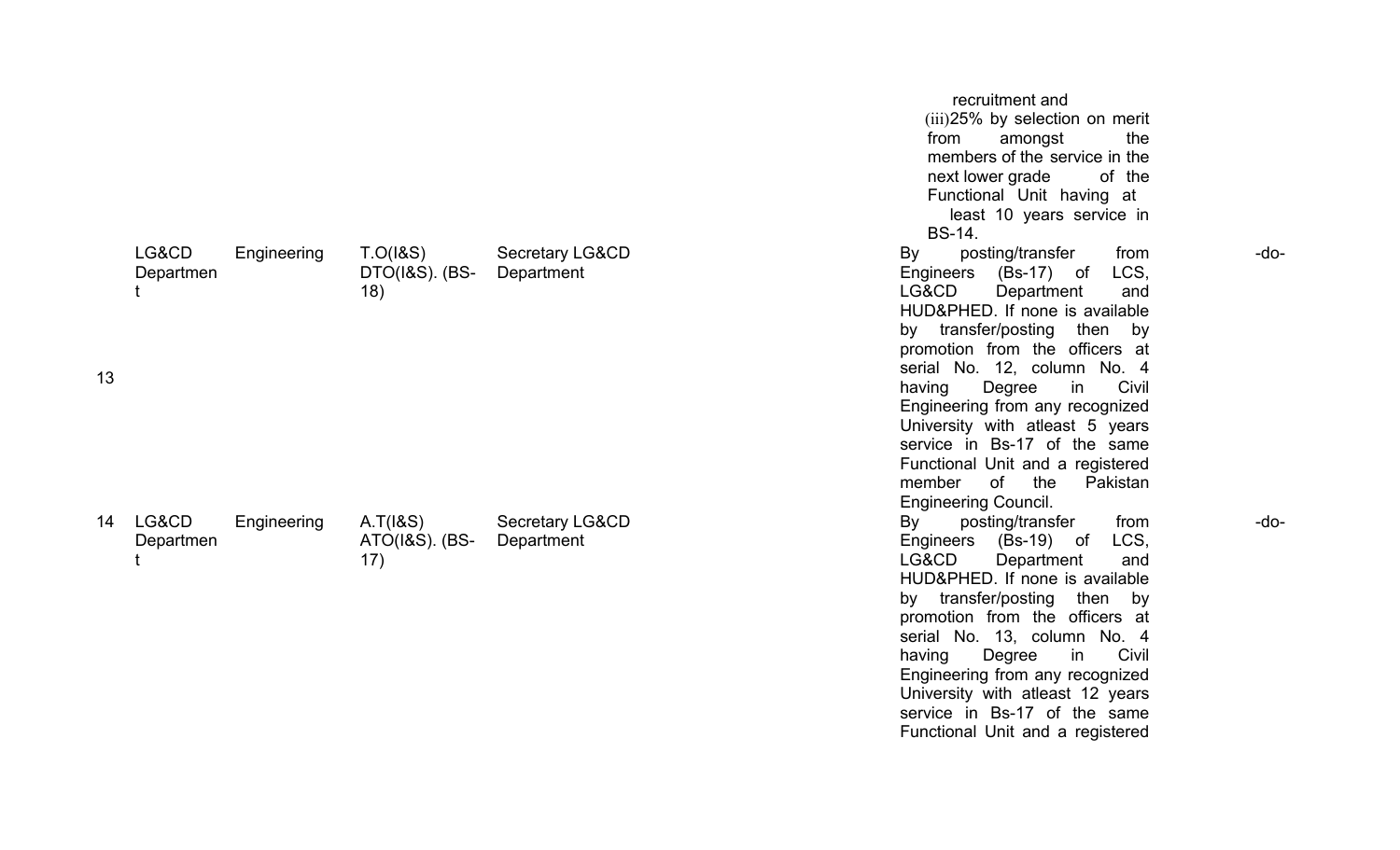|    |                    |             |                                   |                                          | recruitment and<br>(iii) 25% by selection on merit<br>amongst<br>the<br>from<br>members of the service in the<br>next lower grade<br>of the<br>Functional Unit having at<br>least 10 years service in<br><b>BS-14.</b>                                                                                                                                                                                                                                                     |      |
|----|--------------------|-------------|-----------------------------------|------------------------------------------|----------------------------------------------------------------------------------------------------------------------------------------------------------------------------------------------------------------------------------------------------------------------------------------------------------------------------------------------------------------------------------------------------------------------------------------------------------------------------|------|
| 13 | LG&CD<br>Departmen | Engineering | T.O(18S)<br>DTO(1&S). (BS-<br>18) | <b>Secretary LG&amp;CD</b><br>Department | By<br>posting/transfer<br>from<br>LCS,<br>Engineers (Bs-17) of<br>LG&CD<br>Department<br>and<br>HUD&PHED. If none is available<br>by transfer/posting then by<br>promotion from the officers at<br>serial No. 12, column No. 4<br>Civil<br>Degree<br>in<br>having<br>Engineering from any recognized<br>University with atleast 5 years<br>service in Bs-17 of the same<br>Functional Unit and a registered<br>of the<br>member<br>Pakistan<br><b>Engineering Council.</b> | -do- |
| 14 | LG&CD<br>Departmen | Engineering | A.T(18S)<br>ATO(1&S). (BS-<br>17) | <b>Secretary LG&amp;CD</b><br>Department | posting/transfer<br>By<br>from<br>LCS,<br>Engineers (Bs-19) of<br>LG&CD<br>Department<br>and<br>HUD&PHED. If none is available<br>by transfer/posting<br>then by<br>promotion from the officers at<br>serial No. 13, column No. 4<br>Civil<br>having<br>Degree<br>in<br>Engineering from any recognized<br>University with atleast 12 years<br>service in Bs-17 of the same<br>Functional Unit and a registered                                                            | -do- |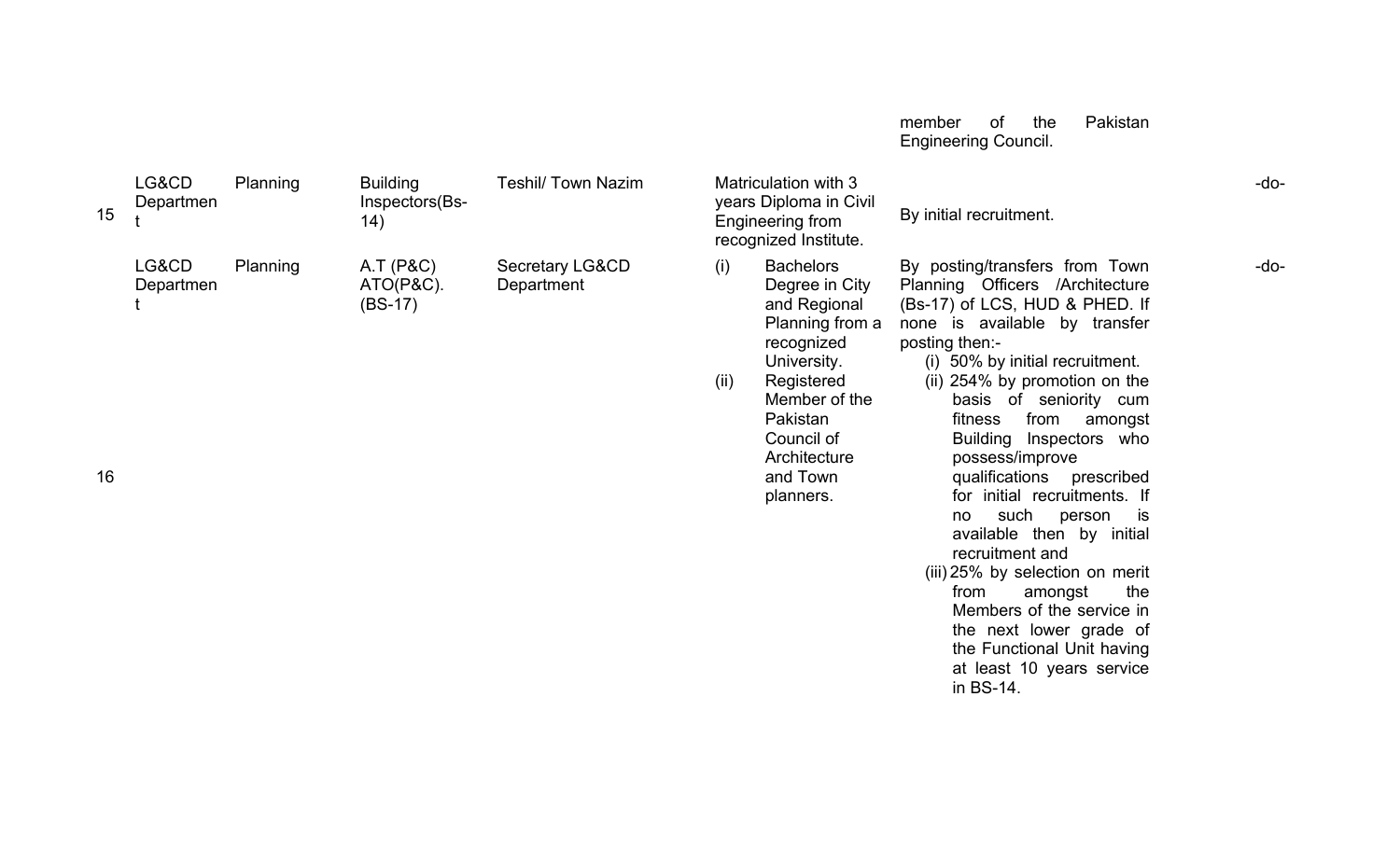|    |                    |          |                                          |                               |                                                                                                                                                                                                                     | Pakistan<br>the<br>member<br>οf<br><b>Engineering Council.</b>                                                                                                                                                                                                                                                                                                                                                                                                                                                                                                                                                                                                                     |        |
|----|--------------------|----------|------------------------------------------|-------------------------------|---------------------------------------------------------------------------------------------------------------------------------------------------------------------------------------------------------------------|------------------------------------------------------------------------------------------------------------------------------------------------------------------------------------------------------------------------------------------------------------------------------------------------------------------------------------------------------------------------------------------------------------------------------------------------------------------------------------------------------------------------------------------------------------------------------------------------------------------------------------------------------------------------------------|--------|
| 15 | LG&CD<br>Departmen | Planning | <b>Building</b><br>Inspectors(Bs-<br>14) | <b>Teshil/ Town Nazim</b>     | Matriculation with 3<br>years Diploma in Civil<br>Engineering from<br>recognized Institute.                                                                                                                         | By initial recruitment.                                                                                                                                                                                                                                                                                                                                                                                                                                                                                                                                                                                                                                                            | $-do-$ |
| 16 | LG&CD<br>Departmen | Planning | A.T(P&C)<br>$ATO(P&C)$ .<br>$(BS-17)$    | Secretary LG&CD<br>Department | <b>Bachelors</b><br>(i)<br>Degree in City<br>and Regional<br>Planning from a<br>recognized<br>University.<br>(ii)<br>Registered<br>Member of the<br>Pakistan<br>Council of<br>Architecture<br>and Town<br>planners. | By posting/transfers from Town<br>Planning Officers /Architecture<br>(Bs-17) of LCS, HUD & PHED. If<br>none is available by transfer<br>posting then:-<br>(i) 50% by initial recruitment.<br>(ii) 254% by promotion on the<br>basis of seniority cum<br>from<br>fitness<br>amongst<br><b>Building</b><br>Inspectors who<br>possess/improve<br>qualifications prescribed<br>for initial recruitments. If<br>such<br>is<br>person<br>no<br>available then by initial<br>recruitment and<br>(iii) 25% by selection on merit<br>the<br>from<br>amongst<br>Members of the service in<br>the next lower grade of<br>the Functional Unit having<br>at least 10 years service<br>in BS-14. | -do-   |